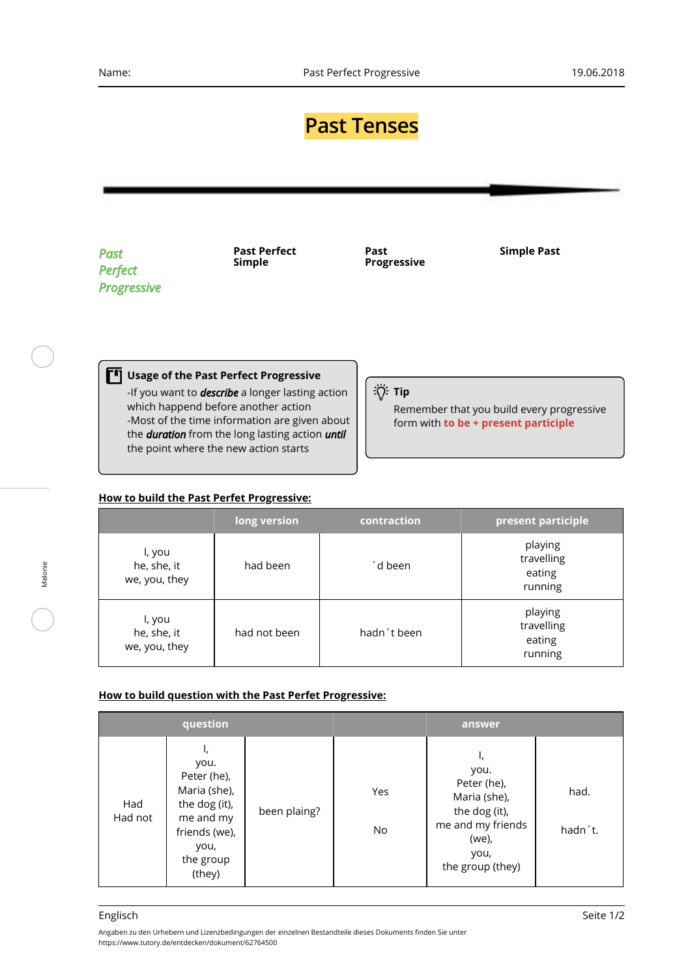## **Past Tenses**

*Past Perfect Progressive* **Past Perfect Simple**

**Past Progressive** **Simple Past**

**Tip** 

Remember that you build every progressive form with **to be + present participle**

## -If you want to *describe* a longer lasting action

**Usage of the Past Perfect Progressive**

which happend before another action -Most of the time information are given about the *duration* from the long lasting action *until* the point where the new action starts

## **How to build the Past Perfet Progressive:**

|                                        | long version | contraction | present participle                         |
|----------------------------------------|--------------|-------------|--------------------------------------------|
| l, you<br>he, she, it<br>we, you, they | had been     | ´d been     | playing<br>travelling<br>eating<br>running |
| l, you<br>he, she, it<br>we, you, they | had not been | hadn't been | playing<br>travelling<br>eating<br>running |

## **How to build question with the Past Perfet Progressive:**

|                | question                                                                                                                |              |           | answer                                                                                                               |                 |
|----------------|-------------------------------------------------------------------------------------------------------------------------|--------------|-----------|----------------------------------------------------------------------------------------------------------------------|-----------------|
| Had<br>Had not | ι,<br>you.<br>Peter (he),<br>Maria (she),<br>the dog (it),<br>me and my<br>friends (we),<br>you,<br>the group<br>(they) | been plaing? | Yes<br>No | ι,<br>you.<br>Peter (he),<br>Maria (she),<br>the dog (it),<br>me and my friends<br>(we),<br>you,<br>the group (they) | had.<br>hadn't. |

Melonie

Angaben zu den Urhebern und Lizenzbedingungen der einzelnen Bestandteile dieses Dokuments finden Sie unter https://www.tutory.de/entdecken/dokument/62764500